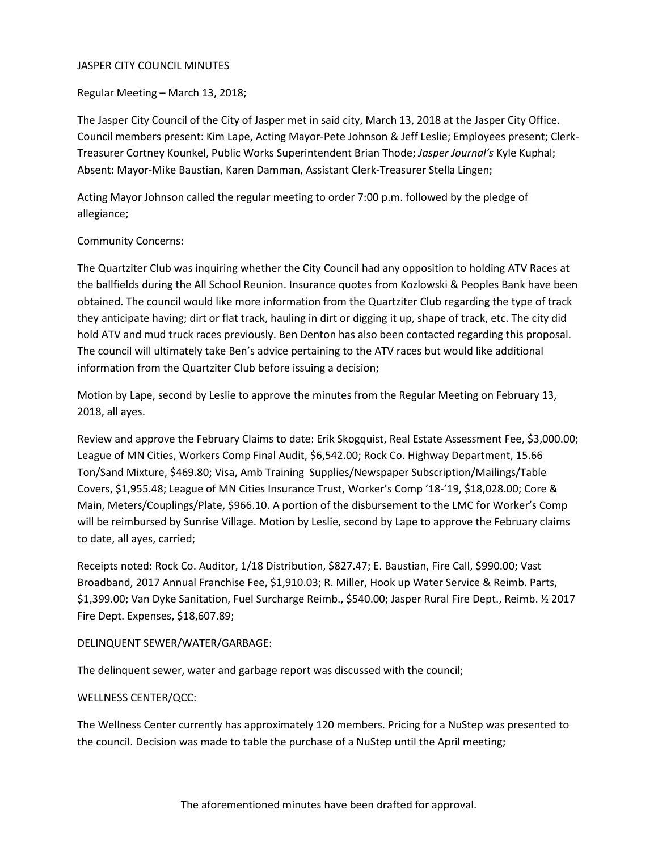#### JASPER CITY COUNCIL MINUTES

Regular Meeting – March 13, 2018;

The Jasper City Council of the City of Jasper met in said city, March 13, 2018 at the Jasper City Office. Council members present: Kim Lape, Acting Mayor-Pete Johnson & Jeff Leslie; Employees present; Clerk-Treasurer Cortney Kounkel, Public Works Superintendent Brian Thode; *Jasper Journal's* Kyle Kuphal; Absent: Mayor-Mike Baustian, Karen Damman, Assistant Clerk-Treasurer Stella Lingen;

Acting Mayor Johnson called the regular meeting to order 7:00 p.m. followed by the pledge of allegiance;

# Community Concerns:

The Quartziter Club was inquiring whether the City Council had any opposition to holding ATV Races at the ballfields during the All School Reunion. Insurance quotes from Kozlowski & Peoples Bank have been obtained. The council would like more information from the Quartziter Club regarding the type of track they anticipate having; dirt or flat track, hauling in dirt or digging it up, shape of track, etc. The city did hold ATV and mud truck races previously. Ben Denton has also been contacted regarding this proposal. The council will ultimately take Ben's advice pertaining to the ATV races but would like additional information from the Quartziter Club before issuing a decision;

Motion by Lape, second by Leslie to approve the minutes from the Regular Meeting on February 13, 2018, all ayes.

Review and approve the February Claims to date: Erik Skogquist, Real Estate Assessment Fee, \$3,000.00; League of MN Cities, Workers Comp Final Audit, \$6,542.00; Rock Co. Highway Department, 15.66 Ton/Sand Mixture, \$469.80; Visa, Amb Training Supplies/Newspaper Subscription/Mailings/Table Covers, \$1,955.48; League of MN Cities Insurance Trust, Worker's Comp '18-'19, \$18,028.00; Core & Main, Meters/Couplings/Plate, \$966.10. A portion of the disbursement to the LMC for Worker's Comp will be reimbursed by Sunrise Village. Motion by Leslie, second by Lape to approve the February claims to date, all ayes, carried;

Receipts noted: Rock Co. Auditor, 1/18 Distribution, \$827.47; E. Baustian, Fire Call, \$990.00; Vast Broadband, 2017 Annual Franchise Fee, \$1,910.03; R. Miller, Hook up Water Service & Reimb. Parts, \$1,399.00; Van Dyke Sanitation, Fuel Surcharge Reimb., \$540.00; Jasper Rural Fire Dept., Reimb. ½ 2017 Fire Dept. Expenses, \$18,607.89;

# DELINQUENT SEWER/WATER/GARBAGE:

The delinquent sewer, water and garbage report was discussed with the council;

#### WELLNESS CENTER/QCC:

The Wellness Center currently has approximately 120 members. Pricing for a NuStep was presented to the council. Decision was made to table the purchase of a NuStep until the April meeting;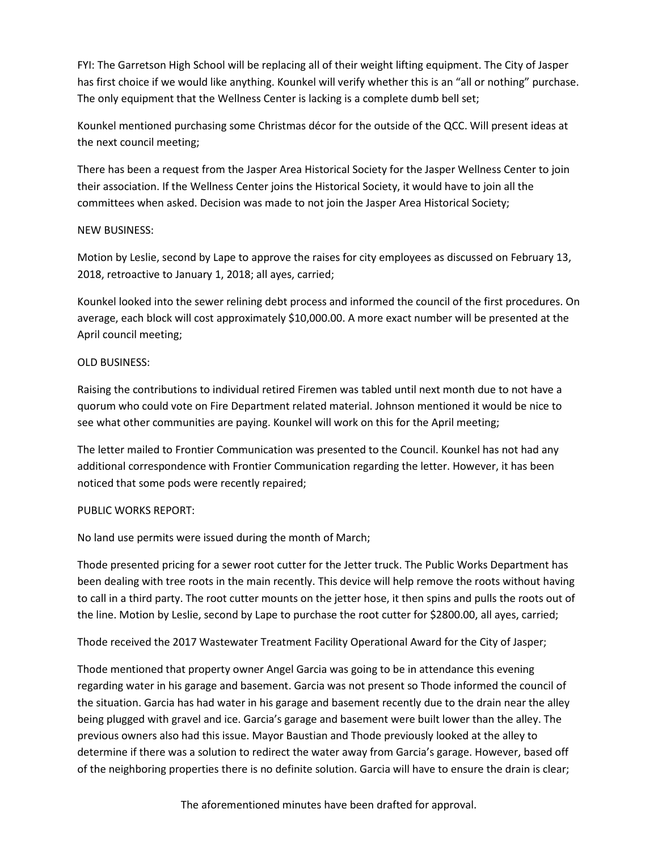FYI: The Garretson High School will be replacing all of their weight lifting equipment. The City of Jasper has first choice if we would like anything. Kounkel will verify whether this is an "all or nothing" purchase. The only equipment that the Wellness Center is lacking is a complete dumb bell set;

Kounkel mentioned purchasing some Christmas décor for the outside of the QCC. Will present ideas at the next council meeting;

There has been a request from the Jasper Area Historical Society for the Jasper Wellness Center to join their association. If the Wellness Center joins the Historical Society, it would have to join all the committees when asked. Decision was made to not join the Jasper Area Historical Society;

# NEW BUSINESS:

Motion by Leslie, second by Lape to approve the raises for city employees as discussed on February 13, 2018, retroactive to January 1, 2018; all ayes, carried;

Kounkel looked into the sewer relining debt process and informed the council of the first procedures. On average, each block will cost approximately \$10,000.00. A more exact number will be presented at the April council meeting;

# OLD BUSINESS:

Raising the contributions to individual retired Firemen was tabled until next month due to not have a quorum who could vote on Fire Department related material. Johnson mentioned it would be nice to see what other communities are paying. Kounkel will work on this for the April meeting;

The letter mailed to Frontier Communication was presented to the Council. Kounkel has not had any additional correspondence with Frontier Communication regarding the letter. However, it has been noticed that some pods were recently repaired;

# PUBLIC WORKS REPORT:

No land use permits were issued during the month of March;

Thode presented pricing for a sewer root cutter for the Jetter truck. The Public Works Department has been dealing with tree roots in the main recently. This device will help remove the roots without having to call in a third party. The root cutter mounts on the jetter hose, it then spins and pulls the roots out of the line. Motion by Leslie, second by Lape to purchase the root cutter for \$2800.00, all ayes, carried;

Thode received the 2017 Wastewater Treatment Facility Operational Award for the City of Jasper;

Thode mentioned that property owner Angel Garcia was going to be in attendance this evening regarding water in his garage and basement. Garcia was not present so Thode informed the council of the situation. Garcia has had water in his garage and basement recently due to the drain near the alley being plugged with gravel and ice. Garcia's garage and basement were built lower than the alley. The previous owners also had this issue. Mayor Baustian and Thode previously looked at the alley to determine if there was a solution to redirect the water away from Garcia's garage. However, based off of the neighboring properties there is no definite solution. Garcia will have to ensure the drain is clear;